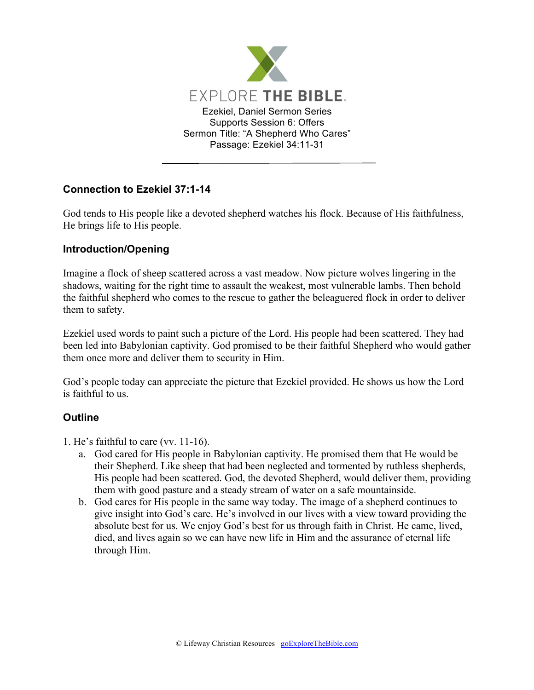

## **Connection to Ezekiel 37:1-14**

God tends to His people like a devoted shepherd watches his flock. Because of His faithfulness, He brings life to His people.

## **Introduction/Opening**

Imagine a flock of sheep scattered across a vast meadow. Now picture wolves lingering in the shadows, waiting for the right time to assault the weakest, most vulnerable lambs. Then behold the faithful shepherd who comes to the rescue to gather the beleaguered flock in order to deliver them to safety.

Ezekiel used words to paint such a picture of the Lord. His people had been scattered. They had been led into Babylonian captivity. God promised to be their faithful Shepherd who would gather them once more and deliver them to security in Him.

God's people today can appreciate the picture that Ezekiel provided. He shows us how the Lord is faithful to us.

## **Outline**

- 1. He's faithful to care (vv. 11-16).
	- a. God cared for His people in Babylonian captivity. He promised them that He would be their Shepherd. Like sheep that had been neglected and tormented by ruthless shepherds, His people had been scattered. God, the devoted Shepherd, would deliver them, providing them with good pasture and a steady stream of water on a safe mountainside.
	- b. God cares for His people in the same way today. The image of a shepherd continues to give insight into God's care. He's involved in our lives with a view toward providing the absolute best for us. We enjoy God's best for us through faith in Christ. He came, lived, died, and lives again so we can have new life in Him and the assurance of eternal life through Him.